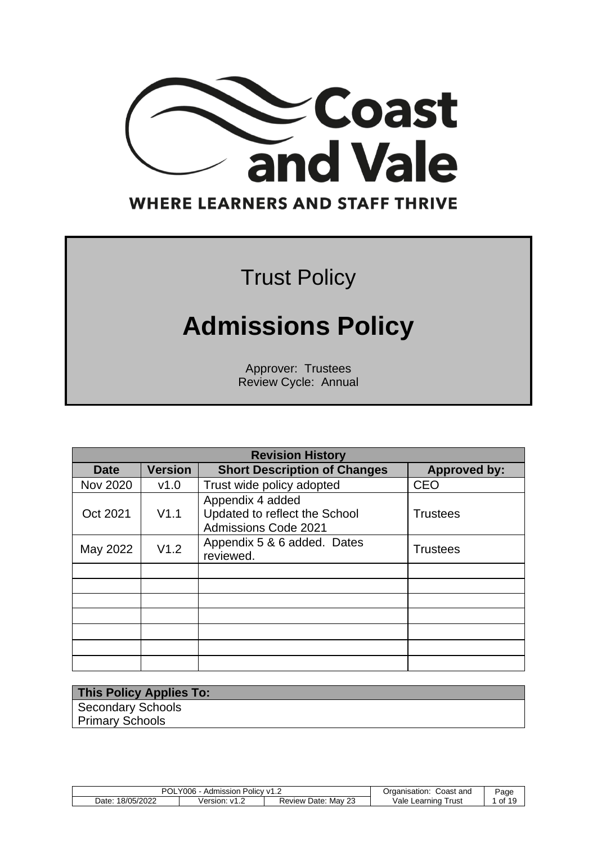

### **WHERE LEARNERS AND STAFF THRIVE**

## Trust Policy

# **Admissions Policy**

Approver: Trustees Review Cycle: Annual

| <b>Revision History</b> |                |                                                                           |                     |  |  |
|-------------------------|----------------|---------------------------------------------------------------------------|---------------------|--|--|
| Date                    | <b>Version</b> | <b>Short Description of Changes</b>                                       | <b>Approved by:</b> |  |  |
| <b>Nov 2020</b>         | v1.0           | Trust wide policy adopted                                                 | <b>CEO</b>          |  |  |
| Oct 2021                | V1.1           | Appendix 4 added<br>Updated to reflect the School<br>Admissions Code 2021 | <b>Trustees</b>     |  |  |
| May 2022                | V1.2           | Appendix 5 & 6 added. Dates<br>reviewed.                                  | <b>Trustees</b>     |  |  |
|                         |                |                                                                           |                     |  |  |
|                         |                |                                                                           |                     |  |  |
|                         |                |                                                                           |                     |  |  |
|                         |                |                                                                           |                     |  |  |
|                         |                |                                                                           |                     |  |  |
|                         |                |                                                                           |                     |  |  |
|                         |                |                                                                           |                     |  |  |

**This Policy Applies To:** Secondary Schools Primary Schools

| POL.<br>Y006<br>Admission<br>$\sim$ Policy V1.4 |          |                           | Coast<br>and<br>Organisation: | Page |
|-------------------------------------------------|----------|---------------------------|-------------------------------|------|
| 18/05/2022<br>Date:                             | Version: | Review Date:<br>Mav<br>نڪ | Vale Learning<br>⊺rust        | of   |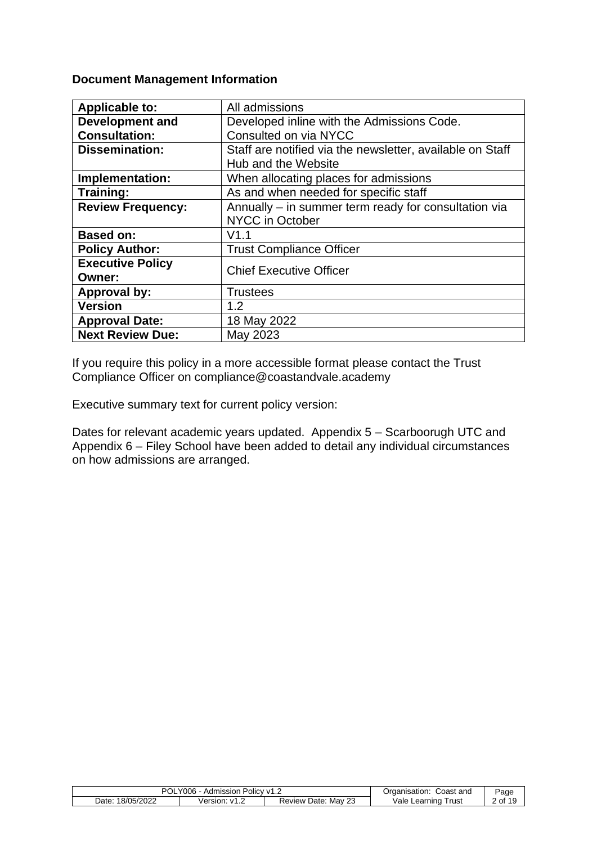#### **Document Management Information**

| <b>Applicable to:</b>    | All admissions                                            |
|--------------------------|-----------------------------------------------------------|
| <b>Development and</b>   | Developed inline with the Admissions Code.                |
| <b>Consultation:</b>     | Consulted on via NYCC                                     |
| <b>Dissemination:</b>    | Staff are notified via the newsletter, available on Staff |
|                          | Hub and the Website                                       |
| Implementation:          | When allocating places for admissions                     |
| Training:                | As and when needed for specific staff                     |
| <b>Review Frequency:</b> | Annually – in summer term ready for consultation via      |
|                          | <b>NYCC in October</b>                                    |
| <b>Based on:</b>         | V1.1                                                      |
| <b>Policy Author:</b>    | <b>Trust Compliance Officer</b>                           |
| <b>Executive Policy</b>  | <b>Chief Executive Officer</b>                            |
| Owner:                   |                                                           |
| <b>Approval by:</b>      | <b>Trustees</b>                                           |
| <b>Version</b>           | 1.2                                                       |
| <b>Approval Date:</b>    | 18 May 2022                                               |
| <b>Next Review Due:</b>  | May 2023                                                  |

If you require this policy in a more accessible format please contact the Trust Compliance Officer on compliance@coastandvale.academy

Executive summary text for current policy version:

Dates for relevant academic years updated. Appendix 5 – Scarboorugh UTC and Appendix 6 – Filey School have been added to detail any individual circumstances on how admissions are arranged.

| <b>POL</b><br>Y006.<br>Admission ,<br>Policy v1.∠ |               |                                     | Coast and<br>Organisation: | Page  |
|---------------------------------------------------|---------------|-------------------------------------|----------------------------|-------|
| 18/05/2022<br>Date:                               | Version: v1.2 | າາ<br>Mav<br>Date:<br>Review<br>ں ے | Vale<br>⊺rust<br>Learning  | of 19 |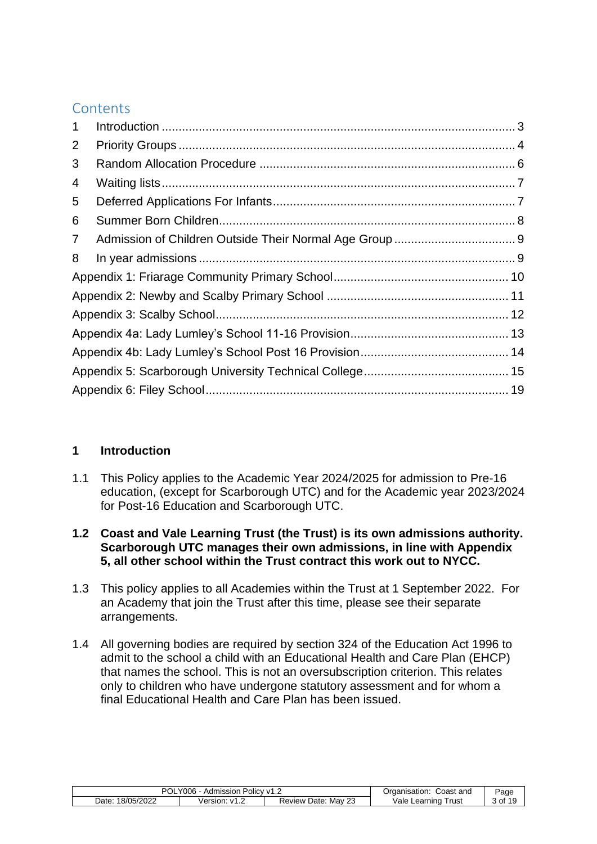#### **Contents**

| $\mathbf{1}$   |  |
|----------------|--|
| 2              |  |
| 3              |  |
| 4              |  |
| 5              |  |
| 6              |  |
| $\overline{7}$ |  |
| 8              |  |
|                |  |
|                |  |
|                |  |
|                |  |
|                |  |
|                |  |
|                |  |

#### <span id="page-2-0"></span>**1 Introduction**

- 1.1 This Policy applies to the Academic Year 2024/2025 for admission to Pre-16 education, (except for Scarborough UTC) and for the Academic year 2023/2024 for Post-16 Education and Scarborough UTC.
- **1.2 Coast and Vale Learning Trust (the Trust) is its own admissions authority. Scarborough UTC manages their own admissions, in line with Appendix 5, all other school within the Trust contract this work out to NYCC.**
- 1.3 This policy applies to all Academies within the Trust at 1 September 2022. For an Academy that join the Trust after this time, please see their separate arrangements.
- 1.4 All governing bodies are required by section 324 of the Education Act 1996 to admit to the school a child with an Educational Health and Care Plan (EHCP) that names the school. This is not an oversubscription criterion. This relates only to children who have undergone statutory assessment and for whom a final Educational Health and Care Plan has been issued.

<span id="page-2-1"></span>

| POL.<br>Y006<br>Admission Policy v1.2 |            |              | Coast and<br>Organisation: | Page  |
|---------------------------------------|------------|--------------|----------------------------|-------|
| 18/05/2022                            | Version: v | Review Date: | Vale Learning              | of 19 |
| Date:                                 | ے.1∨       | Mav 23       | Trust                      |       |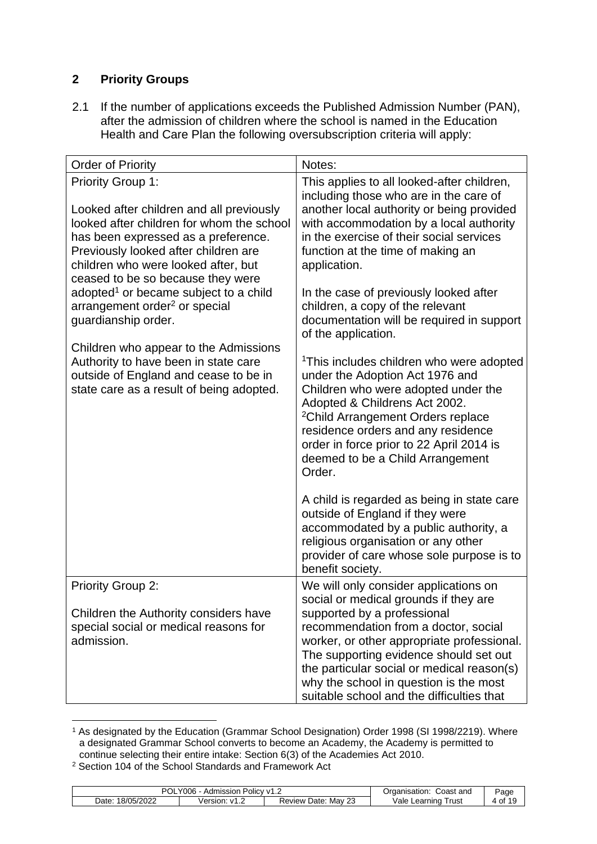#### **2 Priority Groups**

2.1 If the number of applications exceeds the Published Admission Number (PAN), after the admission of children where the school is named in the Education Health and Care Plan the following oversubscription criteria will apply:

<span id="page-3-1"></span><span id="page-3-0"></span>

| <b>Order of Priority</b>                                                                                                                                                                                                                                                     | Notes:                                                                                                                                                                                                                                                                                                                                                                                                                                                                     |
|------------------------------------------------------------------------------------------------------------------------------------------------------------------------------------------------------------------------------------------------------------------------------|----------------------------------------------------------------------------------------------------------------------------------------------------------------------------------------------------------------------------------------------------------------------------------------------------------------------------------------------------------------------------------------------------------------------------------------------------------------------------|
| <b>Priority Group 1:</b><br>Looked after children and all previously<br>looked after children for whom the school<br>has been expressed as a preference.<br>Previously looked after children are<br>children who were looked after, but<br>ceased to be so because they were | This applies to all looked-after children,<br>including those who are in the care of<br>another local authority or being provided<br>with accommodation by a local authority<br>in the exercise of their social services<br>function at the time of making an<br>application.                                                                                                                                                                                              |
| adopted <sup>1</sup> or became subject to a child<br>arrangement order <sup>2</sup> or special<br>guardianship order.                                                                                                                                                        | In the case of previously looked after<br>children, a copy of the relevant<br>documentation will be required in support<br>of the application.                                                                                                                                                                                                                                                                                                                             |
| Children who appear to the Admissions<br>Authority to have been in state care<br>outside of England and cease to be in<br>state care as a result of being adopted.                                                                                                           | <sup>1</sup> This includes children who were adopted<br>under the Adoption Act 1976 and<br>Children who were adopted under the<br>Adopted & Childrens Act 2002.<br><sup>2</sup> Child Arrangement Orders replace<br>residence orders and any residence<br>order in force prior to 22 April 2014 is<br>deemed to be a Child Arrangement<br>Order.<br>A child is regarded as being in state care<br>outside of England if they were<br>accommodated by a public authority, a |
|                                                                                                                                                                                                                                                                              | religious organisation or any other<br>provider of care whose sole purpose is to<br>benefit society.                                                                                                                                                                                                                                                                                                                                                                       |
| <b>Priority Group 2:</b>                                                                                                                                                                                                                                                     | We will only consider applications on<br>social or medical grounds if they are                                                                                                                                                                                                                                                                                                                                                                                             |
| Children the Authority considers have<br>special social or medical reasons for<br>admission.                                                                                                                                                                                 | supported by a professional<br>recommendation from a doctor, social<br>worker, or other appropriate professional.<br>The supporting evidence should set out<br>the particular social or medical reason(s)<br>why the school in question is the most<br>suitable school and the difficulties that                                                                                                                                                                           |

<sup>&</sup>lt;sup>1</sup> As designated by the Education (Grammar School Designation) Order 1998 (SI 1998/2219). Where a designated Grammar School converts to become an Academy, the Academy is permitted to continue selecting their entire intake: Section 6(3) of the Academies Act 2010.

<sup>&</sup>lt;sup>2</sup> Section 104 of the School Standards and Framework Act

| POL<br>Y006<br>Admission Policy v1.2 |                    |                                     | Coast and<br>Organisation:  | Page |
|--------------------------------------|--------------------|-------------------------------------|-----------------------------|------|
| 18/05/2022<br>Date:                  | Version:<br>ے.1∨ ∵ | $\sim$<br>Mav<br>Review Date:<br>نک | Vale ⊾<br>Trust<br>Learning | of   |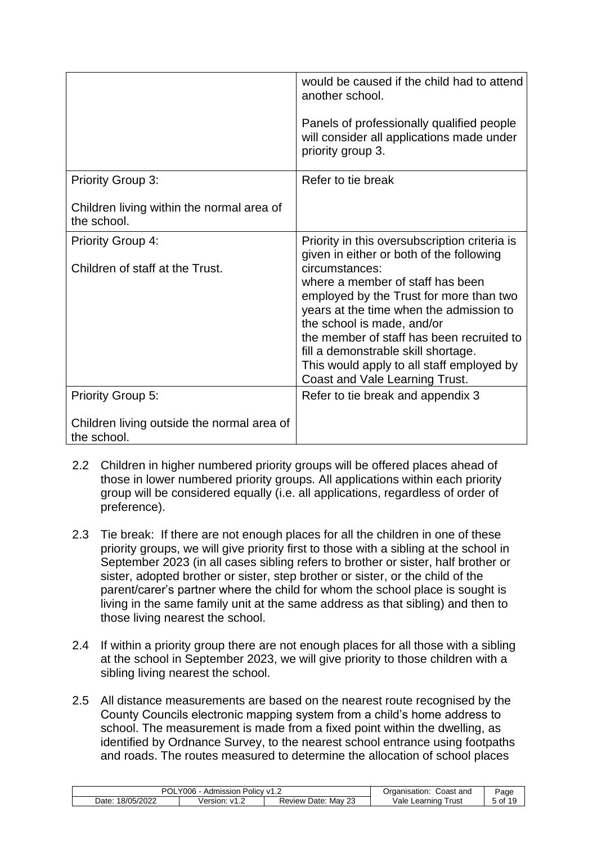|                                                           | would be caused if the child had to attend<br>another school.<br>Panels of professionally qualified people<br>will consider all applications made under<br>priority group 3.                                                                                                                                                              |
|-----------------------------------------------------------|-------------------------------------------------------------------------------------------------------------------------------------------------------------------------------------------------------------------------------------------------------------------------------------------------------------------------------------------|
| <b>Priority Group 3:</b>                                  | Refer to tie break                                                                                                                                                                                                                                                                                                                        |
| Children living within the normal area of<br>the school.  |                                                                                                                                                                                                                                                                                                                                           |
| <b>Priority Group 4:</b>                                  | Priority in this oversubscription criteria is<br>given in either or both of the following                                                                                                                                                                                                                                                 |
| Children of staff at the Trust.                           | circumstances:<br>where a member of staff has been<br>employed by the Trust for more than two<br>years at the time when the admission to<br>the school is made, and/or<br>the member of staff has been recruited to<br>fill a demonstrable skill shortage.<br>This would apply to all staff employed by<br>Coast and Vale Learning Trust. |
| <b>Priority Group 5:</b>                                  | Refer to tie break and appendix 3                                                                                                                                                                                                                                                                                                         |
| Children living outside the normal area of<br>the school. |                                                                                                                                                                                                                                                                                                                                           |

- 2.2 Children in higher numbered priority groups will be offered places ahead of those in lower numbered priority groups. All applications within each priority group will be considered equally (i.e. all applications, regardless of order of preference).
- 2.3 Tie break: If there are not enough places for all the children in one of these priority groups, we will give priority first to those with a sibling at the school in September 2023 (in all cases sibling refers to brother or sister, half brother or sister, adopted brother or sister, step brother or sister, or the child of the parent/carer's partner where the child for whom the school place is sought is living in the same family unit at the same address as that sibling) and then to those living nearest the school.
- 2.4 If within a priority group there are not enough places for all those with a sibling at the school in September 2023, we will give priority to those children with a sibling living nearest the school.
- 2.5 All distance measurements are based on the nearest route recognised by the County Councils electronic mapping system from a child's home address to school. The measurement is made from a fixed point within the dwelling, as identified by Ordnance Survey, to the nearest school entrance using footpaths and roads. The routes measured to determine the allocation of school places

| $\sqrt{006}$<br>Admission<br>Policy ∨1.∠<br>UL |                   |                                               | Coast and<br>Organisation: | Page                |
|------------------------------------------------|-------------------|-----------------------------------------------|----------------------------|---------------------|
| 18/05/2022<br>Date                             | ersion:<br>∵ ∨1.∠ | $\sim$<br>Date:<br>Mav<br><b>Review</b><br>2J | ale/<br>rust<br>∟earnıng   | ა of <sup>1</sup> C |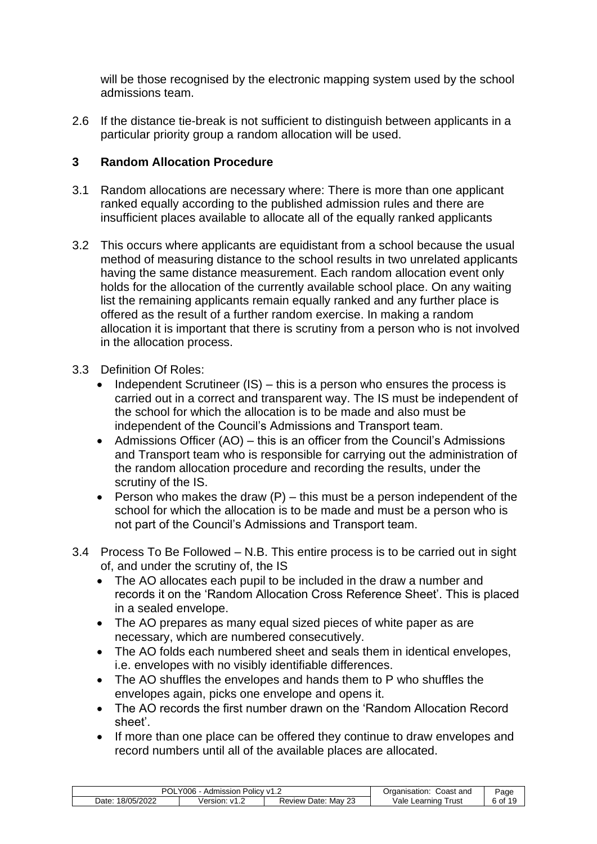will be those recognised by the electronic mapping system used by the school admissions team.

2.6 If the distance tie-break is not sufficient to distinguish between applicants in a particular priority group a random allocation will be used.

#### <span id="page-5-0"></span>**3 Random Allocation Procedure**

- 3.1 Random allocations are necessary where: There is more than one applicant ranked equally according to the published admission rules and there are insufficient places available to allocate all of the equally ranked applicants
- 3.2 This occurs where applicants are equidistant from a school because the usual method of measuring distance to the school results in two unrelated applicants having the same distance measurement. Each random allocation event only holds for the allocation of the currently available school place. On any waiting list the remaining applicants remain equally ranked and any further place is offered as the result of a further random exercise. In making a random allocation it is important that there is scrutiny from a person who is not involved in the allocation process.
- 3.3 Definition Of Roles:
	- Independent Scrutineer  $(IS)$  this is a person who ensures the process is carried out in a correct and transparent way. The IS must be independent of the school for which the allocation is to be made and also must be independent of the Council's Admissions and Transport team.
	- Admissions Officer (AO) this is an officer from the Council's Admissions and Transport team who is responsible for carrying out the administration of the random allocation procedure and recording the results, under the scrutiny of the IS.
	- Person who makes the draw  $(P)$  this must be a person independent of the school for which the allocation is to be made and must be a person who is not part of the Council's Admissions and Transport team.
- 3.4 Process To Be Followed N.B. This entire process is to be carried out in sight of, and under the scrutiny of, the IS
	- The AO allocates each pupil to be included in the draw a number and records it on the 'Random Allocation Cross Reference Sheet'. This is placed in a sealed envelope.
	- The AO prepares as many equal sized pieces of white paper as are necessary, which are numbered consecutively.
	- The AO folds each numbered sheet and seals them in identical envelopes, i.e. envelopes with no visibly identifiable differences.
	- The AO shuffles the envelopes and hands them to P who shuffles the envelopes again, picks one envelope and opens it.
	- The AO records the first number drawn on the 'Random Allocation Record sheet'.
	- If more than one place can be offered they continue to draw envelopes and record numbers until all of the available places are allocated.

| Y006<br>Admission<br>POIICV V1. $\sim$<br>″∪L. |                   |                                      | Coast and<br>Organisation: | Page   |
|------------------------------------------------|-------------------|--------------------------------------|----------------------------|--------|
| 18/05/2022<br>Date                             | Version.<br>∵∨1.∠ | n.<br>Mav<br>Date:<br>Review L<br>ںے | /ale<br>⊺rust<br>Learning  | ็of 19 |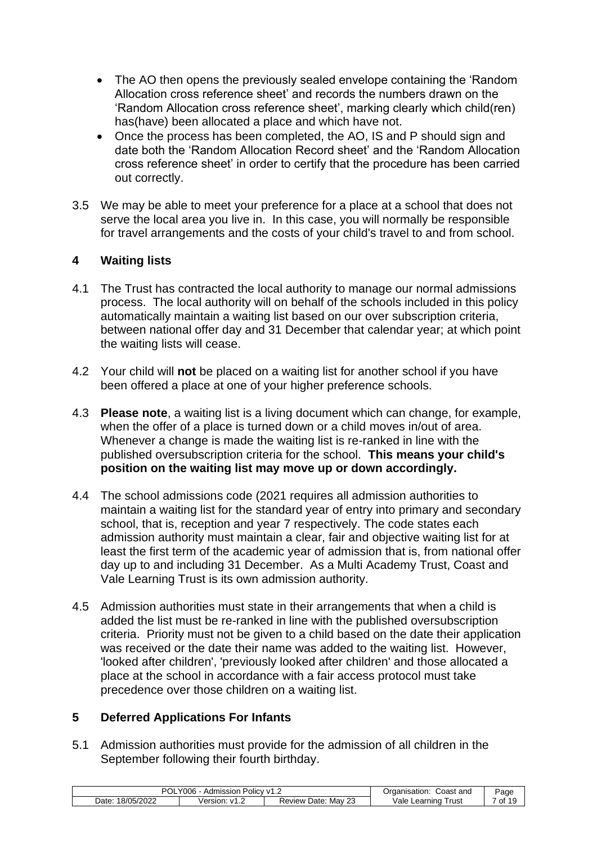- The AO then opens the previously sealed envelope containing the 'Random Allocation cross reference sheet' and records the numbers drawn on the 'Random Allocation cross reference sheet', marking clearly which child(ren) has(have) been allocated a place and which have not.
- Once the process has been completed, the AO, IS and P should sign and date both the 'Random Allocation Record sheet' and the 'Random Allocation cross reference sheet' in order to certify that the procedure has been carried out correctly.
- 3.5 We may be able to meet your preference for a place at a school that does not serve the local area you live in. In this case, you will normally be responsible for travel arrangements and the costs of your child's travel to and from school.

#### <span id="page-6-0"></span>**4 Waiting lists**

- 4.1 The Trust has contracted the local authority to manage our normal admissions process. The local authority will on behalf of the schools included in this policy automatically maintain a waiting list based on our over subscription criteria, between national offer day and 31 December that calendar year; at which point the waiting lists will cease.
- 4.2 Your child will **not** be placed on a waiting list for another school if you have been offered a place at one of your higher preference schools.
- 4.3 **Please note**, a waiting list is a living document which can change, for example, when the offer of a place is turned down or a child moves in/out of area. Whenever a change is made the waiting list is re-ranked in line with the published oversubscription criteria for the school. **This means your child's position on the waiting list may move up or down accordingly.**
- 4.4 The school admissions code (2021 requires all admission authorities to maintain a waiting list for the standard year of entry into primary and secondary school, that is, reception and year 7 respectively. The code states each admission authority must maintain a clear, fair and objective waiting list for at least the first term of the academic year of admission that is, from national offer day up to and including 31 December. As a Multi Academy Trust, Coast and Vale Learning Trust is its own admission authority.
- 4.5 Admission authorities must state in their arrangements that when a child is added the list must be re-ranked in line with the published oversubscription criteria. Priority must not be given to a child based on the date their application was received or the date their name was added to the waiting list. However, 'looked after children', 'previously looked after children' and those allocated a place at the school in accordance with a fair access protocol must take precedence over those children on a waiting list.

#### <span id="page-6-1"></span>**5 Deferred Applications For Infants**

5.1 Admission authorities must provide for the admission of all children in the September following their fourth birthday.

| `∩د<br>'006<br>Admission<br>UL |                    |                              | Coast and<br>Organisation: | Page  |
|--------------------------------|--------------------|------------------------------|----------------------------|-------|
| 18/05/2022<br>Date:            | Version:<br>∵ v1.∠ | າາ<br>Mav<br>Date:<br>Review | Vale<br>Trust<br>Learning  | of 19 |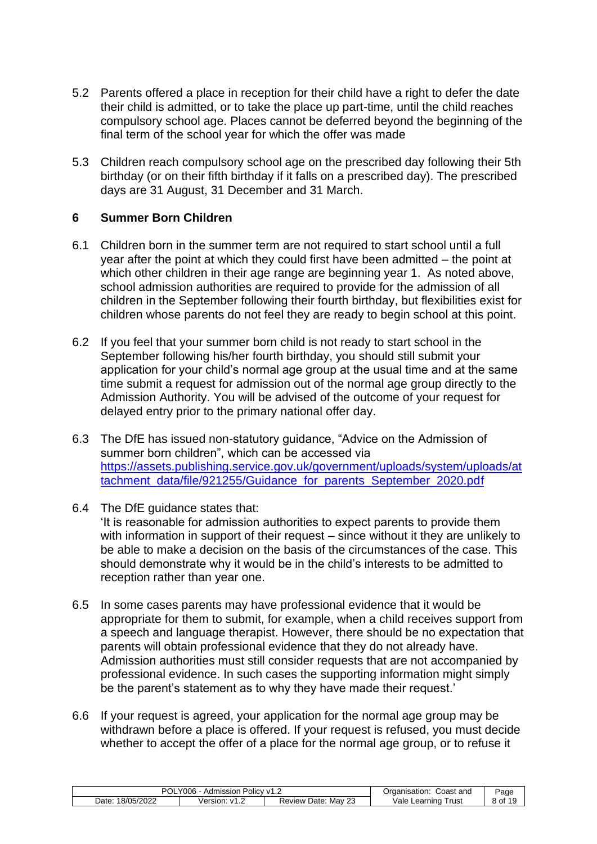- 5.2 Parents offered a place in reception for their child have a right to defer the date their child is admitted, or to take the place up part-time, until the child reaches compulsory school age. Places cannot be deferred beyond the beginning of the final term of the school year for which the offer was made
- 5.3 Children reach compulsory school age on the prescribed day following their 5th birthday (or on their fifth birthday if it falls on a prescribed day). The prescribed days are 31 August, 31 December and 31 March.

#### <span id="page-7-0"></span>**6 Summer Born Children**

- 6.1 Children born in the summer term are not required to start school until a full year after the point at which they could first have been admitted – the point at which other children in their age range are beginning year 1. As noted above, school admission authorities are required to provide for the admission of all children in the September following their fourth birthday, but flexibilities exist for children whose parents do not feel they are ready to begin school at this point.
- 6.2 If you feel that your summer born child is not ready to start school in the September following his/her fourth birthday, you should still submit your application for your child's normal age group at the usual time and at the same time submit a request for admission out of the normal age group directly to the Admission Authority. You will be advised of the outcome of your request for delayed entry prior to the primary national offer day.
- 6.3 The DfE has issued non-statutory guidance, "Advice on the Admission of summer born children", which can be accessed via [https://assets.publishing.service.gov.uk/government/uploads/system/uploads/at](https://assets.publishing.service.gov.uk/government/uploads/system/uploads/attachment_data/file/921255/Guidance_for_parents_September_2020.pdf) [tachment\\_data/file/921255/Guidance\\_for\\_parents\\_September\\_2020.pdf](https://assets.publishing.service.gov.uk/government/uploads/system/uploads/attachment_data/file/921255/Guidance_for_parents_September_2020.pdf)
- 6.4 The DfE guidance states that:

'It is reasonable for admission authorities to expect parents to provide them with information in support of their request – since without it they are unlikely to be able to make a decision on the basis of the circumstances of the case. This should demonstrate why it would be in the child's interests to be admitted to reception rather than year one.

- 6.5 In some cases parents may have professional evidence that it would be appropriate for them to submit, for example, when a child receives support from a speech and language therapist. However, there should be no expectation that parents will obtain professional evidence that they do not already have. Admission authorities must still consider requests that are not accompanied by professional evidence. In such cases the supporting information might simply be the parent's statement as to why they have made their request.'
- 6.6 If your request is agreed, your application for the normal age group may be withdrawn before a place is offered. If your request is refused, you must decide whether to accept the offer of a place for the normal age group, or to refuse it

| Y006<br>Admission<br>Policy v1<br>UL<br>$\overline{1}$ . $\overline{2}$ |                    | Coast and<br>Organisation:                     | Page                      |       |
|-------------------------------------------------------------------------|--------------------|------------------------------------------------|---------------------------|-------|
| 18/05/2022<br>Date                                                      | Version.<br>ے.1∨ ∵ | n <sub>n</sub><br>Mav<br>Date:<br>Review<br>نک | Vale<br>⊺rust<br>∟earnınd | of 19 |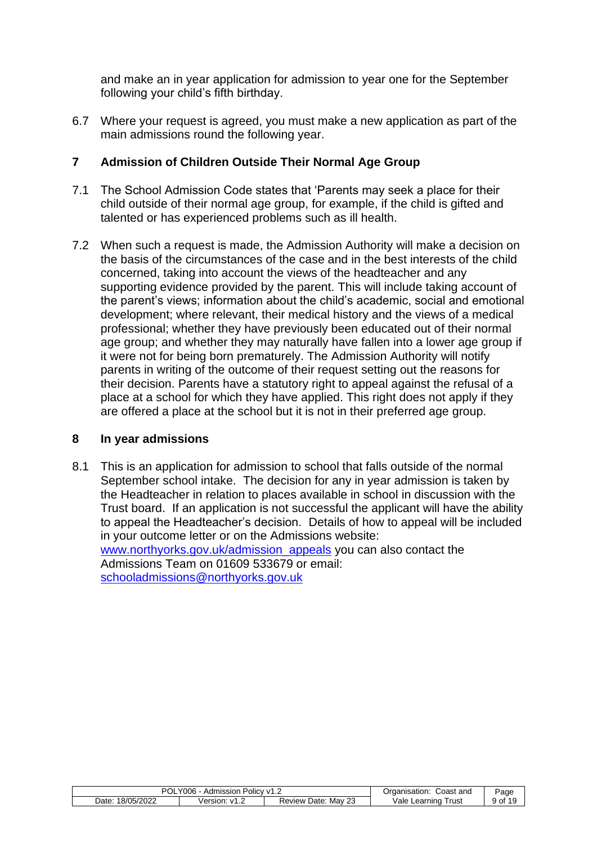and make an in year application for admission to year one for the September following your child's fifth birthday.

6.7 Where your request is agreed, you must make a new application as part of the main admissions round the following year.

#### <span id="page-8-0"></span>**7 Admission of Children Outside Their Normal Age Group**

- 7.1 The School Admission Code states that 'Parents may seek a place for their child outside of their normal age group, for example, if the child is gifted and talented or has experienced problems such as ill health.
- 7.2 When such a request is made, the Admission Authority will make a decision on the basis of the circumstances of the case and in the best interests of the child concerned, taking into account the views of the headteacher and any supporting evidence provided by the parent. This will include taking account of the parent's views; information about the child's academic, social and emotional development; where relevant, their medical history and the views of a medical professional; whether they have previously been educated out of their normal age group; and whether they may naturally have fallen into a lower age group if it were not for being born prematurely. The Admission Authority will notify parents in writing of the outcome of their request setting out the reasons for their decision. Parents have a statutory right to appeal against the refusal of a place at a school for which they have applied. This right does not apply if they are offered a place at the school but it is not in their preferred age group.

#### <span id="page-8-1"></span>**8 In year admissions**

8.1 This is an application for admission to school that falls outside of the normal September school intake. The decision for any in year admission is taken by the Headteacher in relation to places available in school in discussion with the Trust board. If an application is not successful the applicant will have the ability to appeal the Headteacher's decision. Details of how to appeal will be included in your outcome letter or on the Admissions website: [www.northyorks.gov.uk/admission\\_appeals](http://www.northyorks.gov.uk/admission_appeals) you can also contact the Admissions Team on 01609 533679 or email: [schooladmissions@northyorks.gov.uk](mailto:schooladmissions@northyorks.gov.uk)

| Y006<br>Admission Policy v1.2<br>UL |                    | Coast and<br>Organisation:                     | Page                      |       |
|-------------------------------------|--------------------|------------------------------------------------|---------------------------|-------|
| 18/05/2022<br>Date                  | Version:<br>ے.1∨ ∵ | n <sub>n</sub><br>Mav<br>Date:<br>Review<br>ںے | ale/<br>⊺rust<br>Learning | of 19 |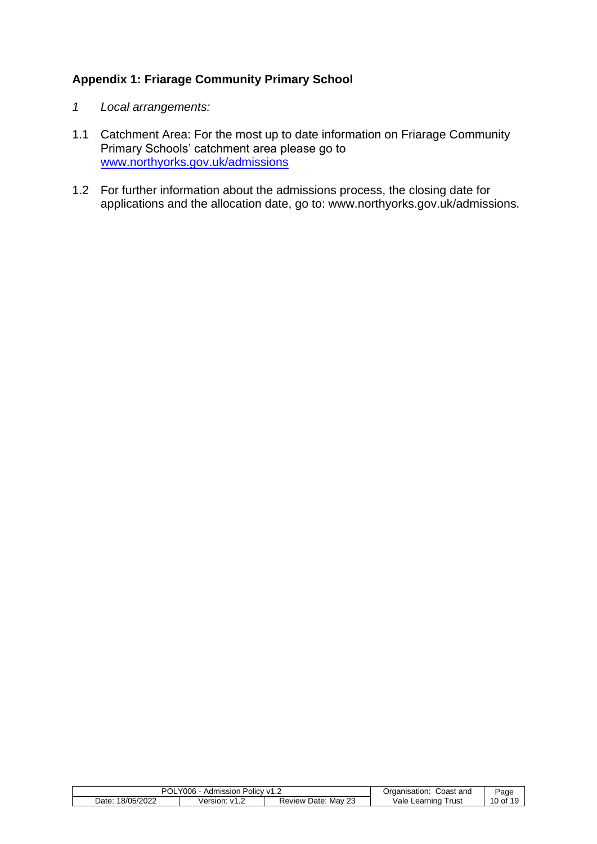#### <span id="page-9-0"></span>**Appendix 1: Friarage Community Primary School**

- *1 Local arrangements:*
- 1.1 Catchment Area: For the most up to date information on Friarage Community Primary Schools' catchment area please go to [www.northyorks.gov.uk/admissions](http://www.northyorks.gov.uk/admissions)
- 1.2 For further information about the admissions process, the closing date for applications and the allocation date, go to: www.northyorks.gov.uk/admissions.

| <b>POL</b><br>Y006<br>. Policy v1<br>Admission |                                         | Coast and<br>Organisation:                     | Page                       |         |
|------------------------------------------------|-----------------------------------------|------------------------------------------------|----------------------------|---------|
| 18/05/2022<br>Date                             | Version:<br>$\mathcal{M}^{\mathcal{A}}$ | n <sub>n</sub><br>Mav<br>Date:<br>⊀eview<br>ںے | ale/<br>i rust<br>Learning | 10 of 1 |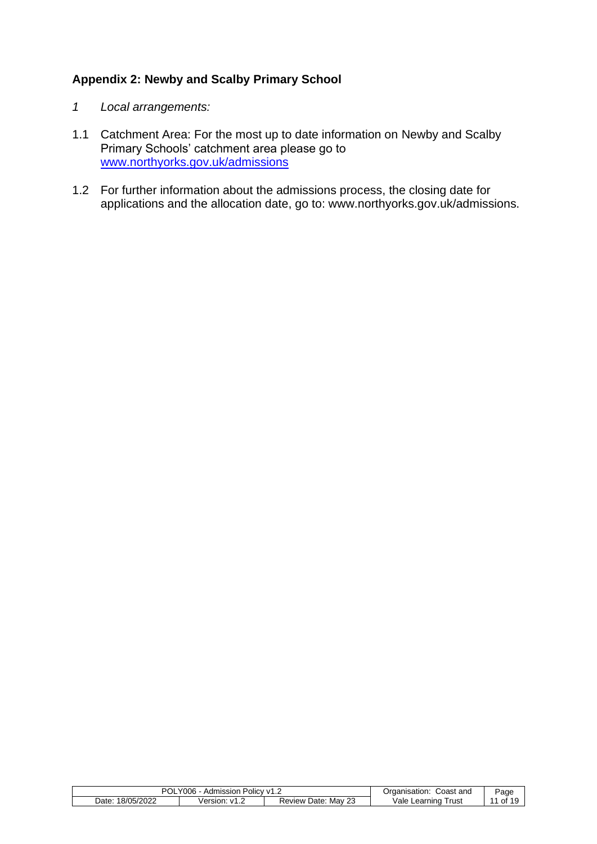#### <span id="page-10-0"></span>**Appendix 2: Newby and Scalby Primary School**

- *1 Local arrangements:*
- 1.1 Catchment Area: For the most up to date information on Newby and Scalby Primary Schools' catchment area please go to [www.northyorks.gov.uk/admissions](http://www.northyorks.gov.uk/admissions)
- 1.2 For further information about the admissions process, the closing date for applications and the allocation date, go to: www.northyorks.gov.uk/admissions.

| <b>POL</b><br>Y006<br>Policy v1<br>Admission<br>ے. ا |                            |                                         |                           | Page            |
|------------------------------------------------------|----------------------------|-----------------------------------------|---------------------------|-----------------|
| 18/05/2022<br>Date:                                  | /ersion:<br>. . <u>. .</u> | $\sim$<br>Mav<br>Date:<br>Review<br>-43 | /ale<br>⊺rust<br>Learning | 19<br>. .<br>0f |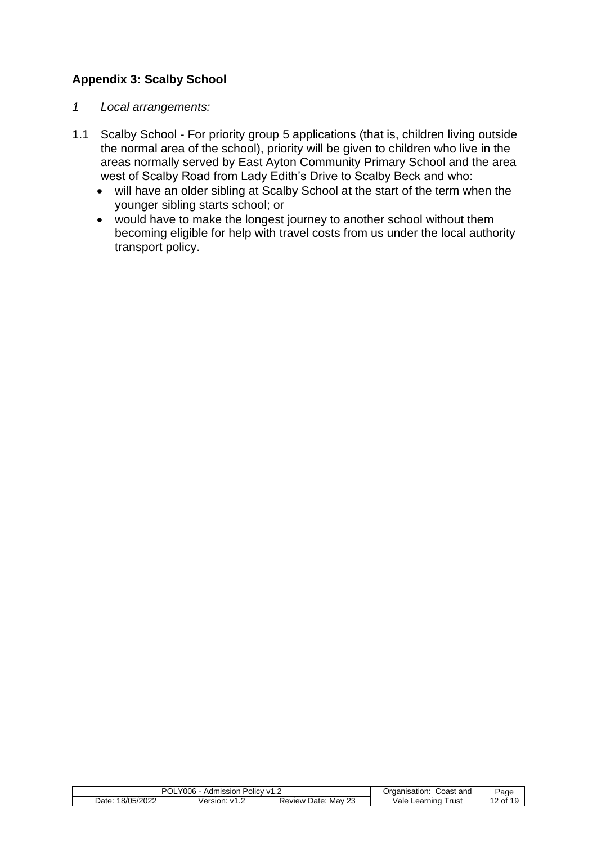#### <span id="page-11-0"></span>**Appendix 3: Scalby School**

- *1 Local arrangements:*
- 1.1 Scalby School For priority group 5 applications (that is, children living outside the normal area of the school), priority will be given to children who live in the areas normally served by East Ayton Community Primary School and the area west of Scalby Road from Lady Edith's Drive to Scalby Beck and who:
	- will have an older sibling at Scalby School at the start of the term when the younger sibling starts school; or
	- would have to make the longest journey to another school without them becoming eligible for help with travel costs from us under the local authority transport policy.

| וחס<br>Y006<br>Policy v1.∠<br>Admission<br>vı<br>ULI |                                                      | Coast and<br>Organisation:                     | Page                       |                    |
|------------------------------------------------------|------------------------------------------------------|------------------------------------------------|----------------------------|--------------------|
| 18/05/2022<br>Date                                   | /ersion:<br>$\cdots$<br>$\mathbf{v}$<br>$\mathsf{L}$ | n <sub>n</sub><br>Mav<br>Date:<br>Review<br>د∠ | '/ale<br>Trust<br>Learning | $\sqrt{2}$<br>. of |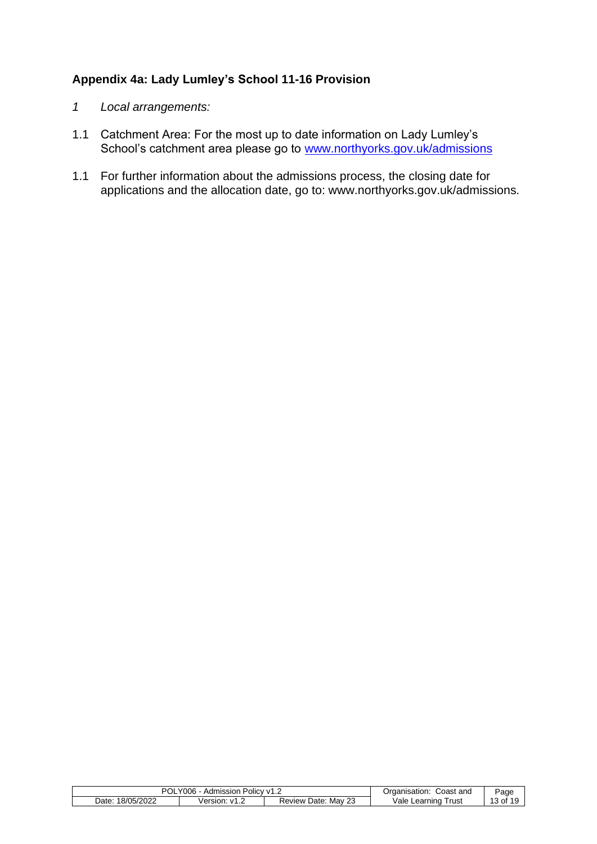#### <span id="page-12-0"></span>**Appendix 4a: Lady Lumley's School 11-16 Provision**

- *1 Local arrangements:*
- 1.1 Catchment Area: For the most up to date information on Lady Lumley's School's catchment area please go to [www.northyorks.gov.uk/admissions](http://www.northyorks.gov.uk/admissions)
- 1.1 For further information about the admissions process, the closing date for applications and the allocation date, go to: www.northyorks.gov.uk/admissions.

| וחם<br>Y006<br>. Policy v <sup>1</sup><br>Admission<br>UL<br>ے ، |                            | Coast and<br>Organisation:   | Page                      |            |
|------------------------------------------------------------------|----------------------------|------------------------------|---------------------------|------------|
| 18/05/2022<br>Date:                                              | /ersion:<br>. . <u>. .</u> | 23<br>Mav<br>Date:<br>Review | Vale<br>Trust<br>Learning | . * ot د . |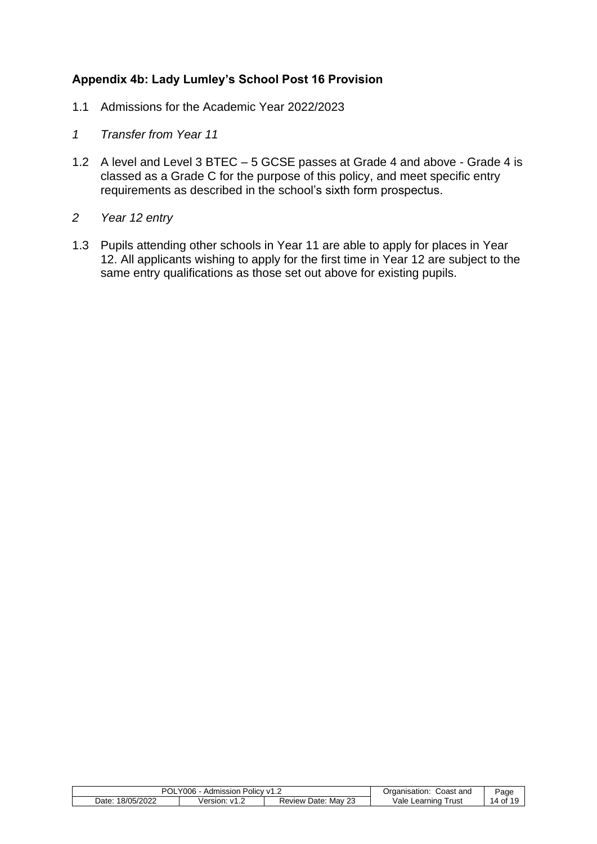#### <span id="page-13-0"></span>**Appendix 4b: Lady Lumley's School Post 16 Provision**

- 1.1 Admissions for the Academic Year 2022/2023
- *1 Transfer from Year 11*
- 1.2 A level and Level 3 BTEC 5 GCSE passes at Grade 4 and above Grade 4 is classed as a Grade C for the purpose of this policy, and meet specific entry requirements as described in the school's sixth form prospectus.
- *2 Year 12 entry*
- 1.3 Pupils attending other schools in Year 11 are able to apply for places in Year 12. All applicants wishing to apply for the first time in Year 12 are subject to the same entry qualifications as those set out above for existing pupils.

| POL<br>Y006<br>. Admission<br>↑ Policy V1.∠ |          | Coast<br>and<br>Organisation: | Page                  |       |
|---------------------------------------------|----------|-------------------------------|-----------------------|-------|
| 18/05/2022<br>Date:                         | Version: | Mav<br>Date:<br>Review<br>نک  | Vale Learning<br>rust | 14 of |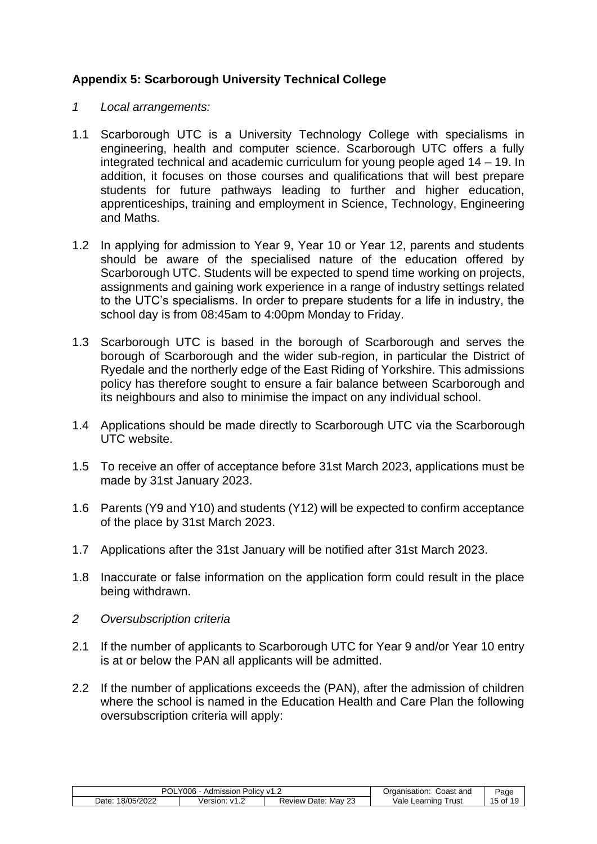#### <span id="page-14-0"></span>**Appendix 5: Scarborough University Technical College**

- *1 Local arrangements:*
- 1.1 Scarborough UTC is a University Technology College with specialisms in engineering, health and computer science. Scarborough UTC offers a fully integrated technical and academic curriculum for young people aged 14 – 19. In addition, it focuses on those courses and qualifications that will best prepare students for future pathways leading to further and higher education, apprenticeships, training and employment in Science, Technology, Engineering and Maths.
- 1.2 In applying for admission to Year 9, Year 10 or Year 12, parents and students should be aware of the specialised nature of the education offered by Scarborough UTC. Students will be expected to spend time working on projects, assignments and gaining work experience in a range of industry settings related to the UTC's specialisms. In order to prepare students for a life in industry, the school day is from 08:45am to 4:00pm Monday to Friday.
- 1.3 Scarborough UTC is based in the borough of Scarborough and serves the borough of Scarborough and the wider sub-region, in particular the District of Ryedale and the northerly edge of the East Riding of Yorkshire. This admissions policy has therefore sought to ensure a fair balance between Scarborough and its neighbours and also to minimise the impact on any individual school.
- 1.4 Applications should be made directly to Scarborough UTC via the Scarborough UTC website.
- 1.5 To receive an offer of acceptance before 31st March 2023, applications must be made by 31st January 2023.
- 1.6 Parents (Y9 and Y10) and students (Y12) will be expected to confirm acceptance of the place by 31st March 2023.
- 1.7 Applications after the 31st January will be notified after 31st March 2023.
- 1.8 Inaccurate or false information on the application form could result in the place being withdrawn.
- *2 Oversubscription criteria*
- 2.1 If the number of applicants to Scarborough UTC for Year 9 and/or Year 10 entry is at or below the PAN all applicants will be admitted.
- 2.2 If the number of applications exceeds the (PAN), after the admission of children where the school is named in the Education Health and Care Plan the following oversubscription criteria will apply:

| Y006.<br>POL.<br>Admission Policy v1.2 |               | Coast and<br>Organisation:        | Page                   |                   |
|----------------------------------------|---------------|-----------------------------------|------------------------|-------------------|
| 18/05/2022<br>Date:                    | Version: v1.∠ | . Mav $2^{\circ}$<br>Review Date: | Vale Learning<br>Γrust | $15$ of $\degree$ |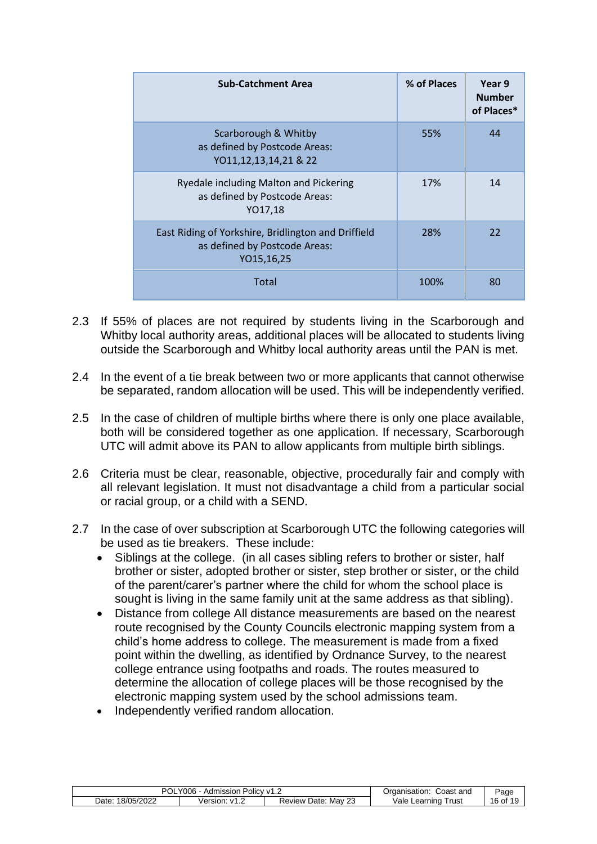| <b>Sub-Catchment Area</b>                                                                          | % of Places | Year 9<br><b>Number</b><br>of Places* |
|----------------------------------------------------------------------------------------------------|-------------|---------------------------------------|
| Scarborough & Whitby<br>as defined by Postcode Areas:<br>YO11,12,13,14,21 & 22                     | 55%         | 44                                    |
| Ryedale including Malton and Pickering<br>as defined by Postcode Areas:<br>YO17,18                 | 17%         | 14                                    |
| East Riding of Yorkshire, Bridlington and Driffield<br>as defined by Postcode Areas:<br>YO15,16,25 | 28%         | 22                                    |
| Total                                                                                              | 100%        | 80                                    |

- 2.3 If 55% of places are not required by students living in the Scarborough and Whitby local authority areas, additional places will be allocated to students living outside the Scarborough and Whitby local authority areas until the PAN is met.
- 2.4 In the event of a tie break between two or more applicants that cannot otherwise be separated, random allocation will be used. This will be independently verified.
- 2.5 In the case of children of multiple births where there is only one place available, both will be considered together as one application. If necessary, Scarborough UTC will admit above its PAN to allow applicants from multiple birth siblings.
- 2.6 Criteria must be clear, reasonable, objective, procedurally fair and comply with all relevant legislation. It must not disadvantage a child from a particular social or racial group, or a child with a SEND.
- 2.7 In the case of over subscription at Scarborough UTC the following categories will be used as tie breakers. These include:
	- Siblings at the college. (in all cases sibling refers to brother or sister, half brother or sister, adopted brother or sister, step brother or sister, or the child of the parent/carer's partner where the child for whom the school place is sought is living in the same family unit at the same address as that sibling).
	- Distance from college All distance measurements are based on the nearest route recognised by the County Councils electronic mapping system from a child's home address to college. The measurement is made from a fixed point within the dwelling, as identified by Ordnance Survey, to the nearest college entrance using footpaths and roads. The routes measured to determine the allocation of college places will be those recognised by the electronic mapping system used by the school admissions team.
	- Independently verified random allocation.

| $\cdot$ Y006 $\cdot$ ,<br>POL<br>Admission Policy v1.2 |                            | Coast and<br>Organisation: | Page                   |         |
|--------------------------------------------------------|----------------------------|----------------------------|------------------------|---------|
| 18/05/2022<br>$\mathcal{Q}$ ate:                       | √ersion:<br>$\mathsf{M}$ 1 | Review Date: May 23        | Vale Learning<br>⊺rust | 16 of 1 |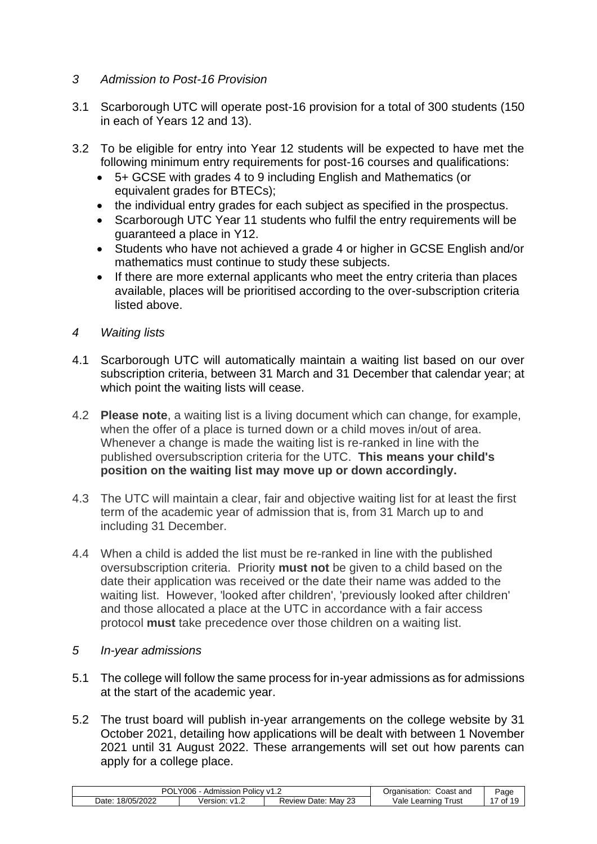#### *3 Admission to Post-16 Provision*

- 3.1 Scarborough UTC will operate post-16 provision for a total of 300 students (150 in each of Years 12 and 13).
- 3.2 To be eligible for entry into Year 12 students will be expected to have met the following minimum entry requirements for post-16 courses and qualifications:
	- 5+ GCSE with grades 4 to 9 including English and Mathematics (or equivalent grades for BTECs);
	- the individual entry grades for each subject as specified in the prospectus.
	- Scarborough UTC Year 11 students who fulfil the entry requirements will be guaranteed a place in Y12.
	- Students who have not achieved a grade 4 or higher in GCSE English and/or mathematics must continue to study these subjects.
	- If there are more external applicants who meet the entry criteria than places available, places will be prioritised according to the over-subscription criteria listed above.
- *4 Waiting lists*
- 4.1 Scarborough UTC will automatically maintain a waiting list based on our over subscription criteria, between 31 March and 31 December that calendar year; at which point the waiting lists will cease.
- 4.2 **Please note**, a waiting list is a living document which can change, for example, when the offer of a place is turned down or a child moves in/out of area. Whenever a change is made the waiting list is re-ranked in line with the published oversubscription criteria for the UTC. **This means your child's position on the waiting list may move up or down accordingly.**
- 4.3 The UTC will maintain a clear, fair and objective waiting list for at least the first term of the academic year of admission that is, from 31 March up to and including 31 December.
- 4.4 When a child is added the list must be re-ranked in line with the published oversubscription criteria. Priority **must not** be given to a child based on the date their application was received or the date their name was added to the waiting list. However, 'looked after children', 'previously looked after children' and those allocated a place at the UTC in accordance with a fair access protocol **must** take precedence over those children on a waiting list.
- *5 In-year admissions*
- 5.1 The college will follow the same process for in-year admissions as for admissions at the start of the academic year.
- 5.2 The trust board will publish in-year arrangements on the college website by 31 October 2021, detailing how applications will be dealt with between 1 November 2021 until 31 August 2022. These arrangements will set out how parents can apply for a college place.

| OL<br>Y006<br>Admission<br>– Olic∨ ∨1.∠ |                            | Coast and<br>Organisation:               | Page                        |    |
|-----------------------------------------|----------------------------|------------------------------------------|-----------------------------|----|
| 8/05/2022<br>Date:                      | Version:<br>V <sub>1</sub> | $\sim$<br>Mav<br>Date:<br>Review L<br>نت | Vale .<br>Γrust<br>Learning | 0f |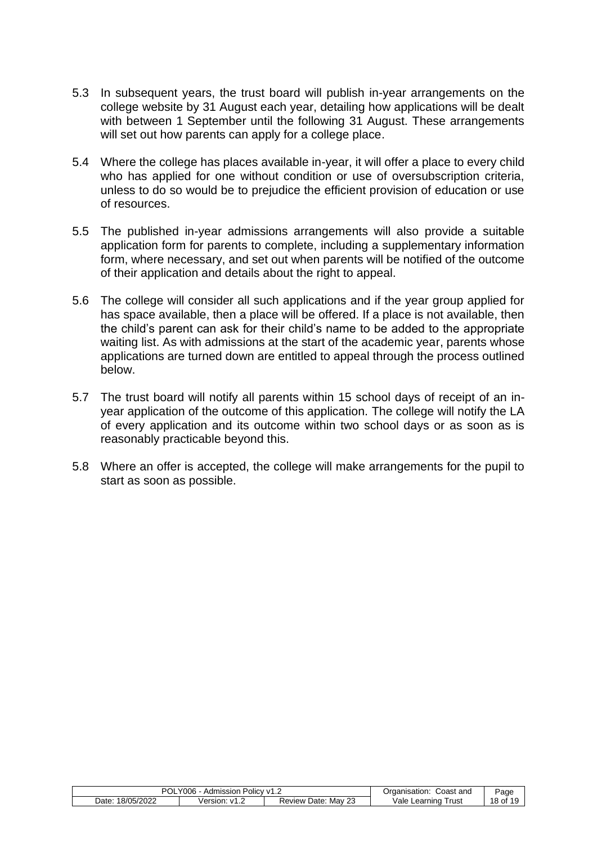- 5.3 In subsequent years, the trust board will publish in-year arrangements on the college website by 31 August each year, detailing how applications will be dealt with between 1 September until the following 31 August. These arrangements will set out how parents can apply for a college place.
- 5.4 Where the college has places available in-year, it will offer a place to every child who has applied for one without condition or use of oversubscription criteria, unless to do so would be to prejudice the efficient provision of education or use of resources.
- 5.5 The published in-year admissions arrangements will also provide a suitable application form for parents to complete, including a supplementary information form, where necessary, and set out when parents will be notified of the outcome of their application and details about the right to appeal.
- 5.6 The college will consider all such applications and if the year group applied for has space available, then a place will be offered. If a place is not available, then the child's parent can ask for their child's name to be added to the appropriate waiting list. As with admissions at the start of the academic year, parents whose applications are turned down are entitled to appeal through the process outlined below.
- 5.7 The trust board will notify all parents within 15 school days of receipt of an inyear application of the outcome of this application. The college will notify the LA of every application and its outcome within two school days or as soon as is reasonably practicable beyond this.
- 5.8 Where an offer is accepted, the college will make arrangements for the pupil to start as soon as possible.

| <b>POL</b><br>Y006<br>Admission Policy v1.2 |                  | Coast and<br>Organisation: | Page                   |            |
|---------------------------------------------|------------------|----------------------------|------------------------|------------|
| 18/05/2022<br>Date                          | Version:<br>ے.1∨ | Review Date:<br>Mav<br>نڪ  | Vale Learning<br>⊺rust | $18$ of 1' |